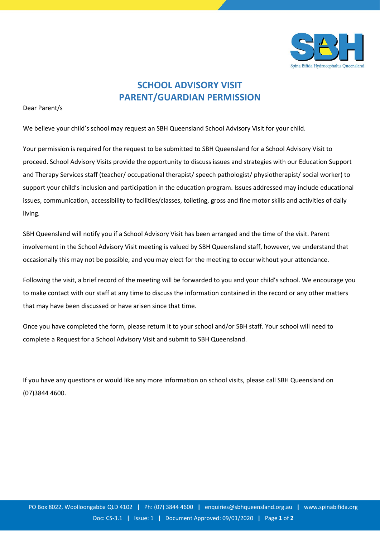

## **SCHOOL ADVISORY VISIT PARENT/GUARDIAN PERMISSION**

Dear Parent/s

We believe your child's school may request an SBH Queensland School Advisory Visit for your child.

Your permission is required for the request to be submitted to SBH Queensland for a School Advisory Visit to proceed. School Advisory Visits provide the opportunity to discuss issues and strategies with our Education Support and Therapy Services staff (teacher/ occupational therapist/ speech pathologist/ physiotherapist/ social worker) to support your child's inclusion and participation in the education program. Issues addressed may include educational issues, communication, accessibility to facilities/classes, toileting, gross and fine motor skills and activities of daily living.

SBH Queensland will notify you if a School Advisory Visit has been arranged and the time of the visit. Parent involvement in the School Advisory Visit meeting is valued by SBH Queensland staff, however, we understand that occasionally this may not be possible, and you may elect for the meeting to occur without your attendance.

Following the visit, a brief record of the meeting will be forwarded to you and your child's school. We encourage you to make contact with our staff at any time to discuss the information contained in the record or any other matters that may have been discussed or have arisen since that time.

Once you have completed the form, please return it to your school and/or SBH staff. Your school will need to complete a Request for a School Advisory Visit and submit to SBH Queensland.

If you have any questions or would like any more information on school visits, please call SBH Queensland on (07)3844 4600.